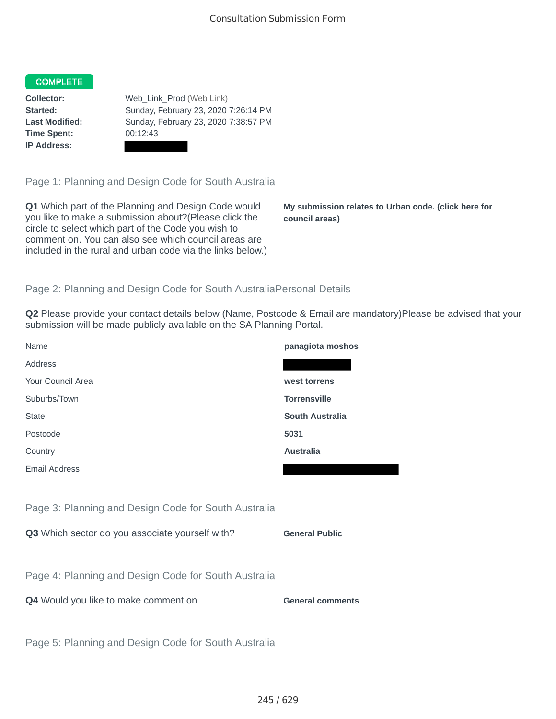## COMPLETE

**Time Spent:** 00:12:43 **IP Address:**

**Collector:** Web\_Link\_Prod (Web Link) **Started:** Sunday, February 23, 2020 7:26:14 PM **Last Modified:** Sunday, February 23, 2020 7:38:57 PM

Page 1: Planning and Design Code for South Australia

**Q1** Which part of the Planning and Design Code would you like to make a submission about?(Please click the circle to select which part of the Code you wish to comment on. You can also see which council areas are included in the rural and urban code via the links below.)

**My submission relates to Urban code. (click here for council areas)**

## Page 2: Planning and Design Code for South AustraliaPersonal Details

**Q2** Please provide your contact details below (Name, Postcode & Email are mandatory)Please be advised that your submission will be made publicly available on the SA Planning Portal.

| Name                                                 | panagiota moshos        |
|------------------------------------------------------|-------------------------|
| Address                                              |                         |
| Your Council Area                                    | west torrens            |
| Suburbs/Town                                         | <b>Torrensville</b>     |
| <b>State</b>                                         | <b>South Australia</b>  |
| Postcode                                             | 5031                    |
| Country                                              | <b>Australia</b>        |
| <b>Email Address</b>                                 |                         |
|                                                      |                         |
| Page 3: Planning and Design Code for South Australia |                         |
| Q3 Which sector do you associate yourself with?      | <b>General Public</b>   |
|                                                      |                         |
| Page 4: Planning and Design Code for South Australia |                         |
| Q4 Would you like to make comment on                 | <b>General comments</b> |
|                                                      |                         |
| Page 5: Planning and Design Code for South Australia |                         |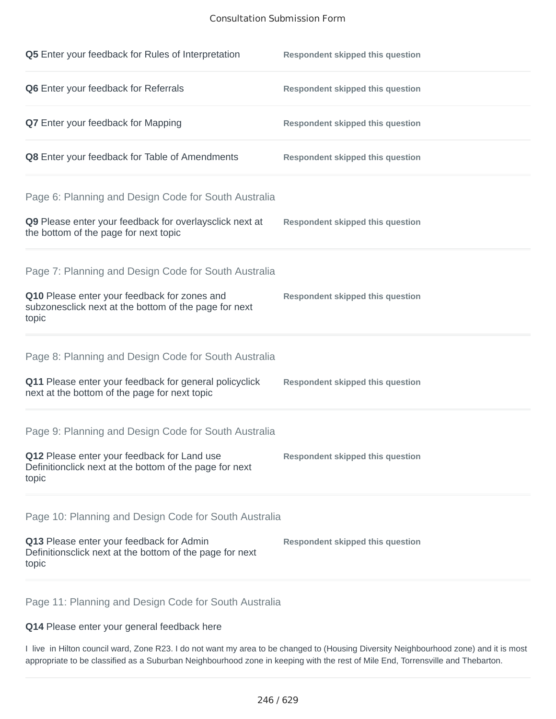## Consultation Submission Form

| Q5 Enter your feedback for Rules of Interpretation                                                              | <b>Respondent skipped this question</b> |
|-----------------------------------------------------------------------------------------------------------------|-----------------------------------------|
| Q6 Enter your feedback for Referrals                                                                            | <b>Respondent skipped this question</b> |
| Q7 Enter your feedback for Mapping                                                                              | <b>Respondent skipped this question</b> |
| Q8 Enter your feedback for Table of Amendments                                                                  | <b>Respondent skipped this question</b> |
| Page 6: Planning and Design Code for South Australia                                                            |                                         |
| Q9 Please enter your feedback for overlaysclick next at<br>the bottom of the page for next topic                | <b>Respondent skipped this question</b> |
| Page 7: Planning and Design Code for South Australia                                                            |                                         |
| Q10 Please enter your feedback for zones and<br>subzonesclick next at the bottom of the page for next<br>topic  | <b>Respondent skipped this question</b> |
| Page 8: Planning and Design Code for South Australia                                                            |                                         |
| Q11 Please enter your feedback for general policyclick<br>next at the bottom of the page for next topic         | <b>Respondent skipped this question</b> |
| Page 9: Planning and Design Code for South Australia                                                            |                                         |
| Q12 Please enter your feedback for Land use<br>Definitionclick next at the bottom of the page for next<br>topic | <b>Respondent skipped this question</b> |
| Page 10: Planning and Design Code for South Australia                                                           |                                         |
| Q13 Please enter your feedback for Admin<br>Definitionsclick next at the bottom of the page for next<br>topic   | <b>Respondent skipped this question</b> |

Page 11: Planning and Design Code for South Australia

**Q14** Please enter your general feedback here

I live in Hilton council ward, Zone R23. I do not want my area to be changed to (Housing Diversity Neighbourhood zone) and it is most appropriate to be classified as a Suburban Neighbourhood zone in keeping with the rest of Mile End, Torrensville and Thebarton.